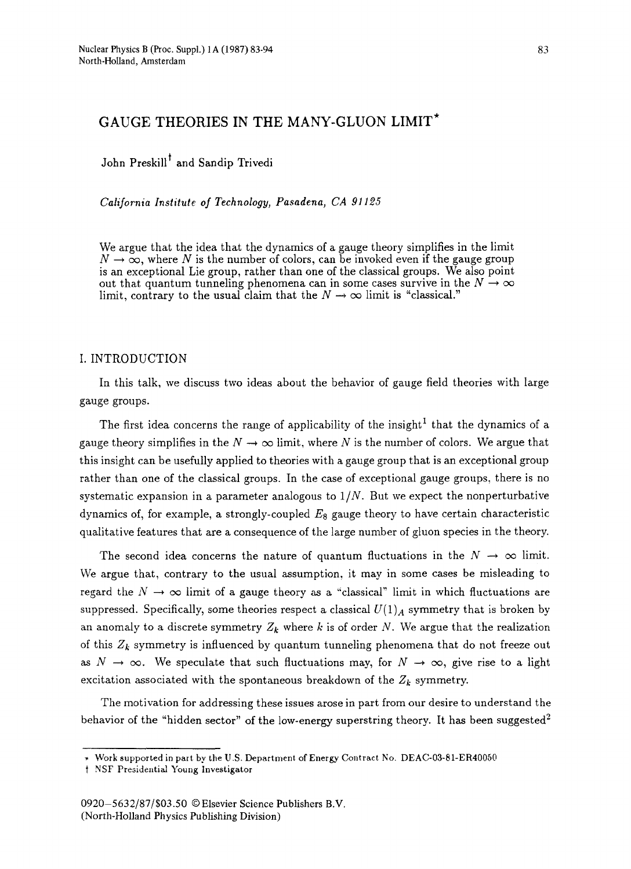# **GAUGE THEORIES IN THE MANY-GLUON LIMIT\***

John Preskill<sup>†</sup> and Sandip Trivedi

*California Institute of Technology, Pasadena, CA 91125* 

We argue that the idea that the dynamics of a gauge theory simplifies in the limit  $N \to \infty$ , where N is the number of colors, can be invoked even if the gauge group is an exceptional Lie group, rather than one of the classical groups. We also point out that quantum tunneling phenomena can in some cases survive in the  $N \to \infty$ limit, contrary to the usual claim that the  $N \to \infty$  limit is "classical."

## I. INTRODUCTION

In this talk, we discuss two ideas about the behavior of gauge field theories with large gauge groups.

The first idea concerns the range of applicability of the insight<sup>1</sup> that the dynamics of a gauge theory simplifies in the  $N \to \infty$  limit, where N is the number of colors. We argue that this insight can be usefully applied to theories with a gauge group that is an exceptional group rather than one of the classical groups. In the case of exceptional gauge groups, there is no systematic expansion in a parameter analogous to  $1/N$ . But we expect the nonperturbative dynamics of, for example, a strongly-coupled  $E_8$  gauge theory to have certain characteristic qualitative features that are a consequence of the large number of gluon species in the theory.

The second idea concerns the nature of quantum fluctuations in the  $N \to \infty$  limit. We argue that, contrary to the usual assumption, it may in some cases be misleading to regard the  $N \rightarrow \infty$  limit of a gauge theory as a "classical" limit in which fluctuations are suppressed. Specifically, some theories respect a classical  $U(1)_A$  symmetry that is broken by an anomaly to a discrete symmetry  $Z_k$  where k is of order N. We argue that the realization of this  $Z_k$  symmetry is influenced by quantum tunneling phenomena that do not freeze out as  $N \to \infty$ . We speculate that such fluctuations may, for  $N \to \infty$ , give rise to a light excitation associated with the spontaneous breakdown of the  $Z_k$  symmetry.

The motivation for addressing these issues arose in part from our desire to understand the behavior of the "hidden sector" of the low-energy superstring theory. It has been suggested<sup>2</sup>

Work supported in **part by the U.S.** Department of Energy Contract **No. DEAC-03-81-ER40050** 

t NSF Presidential Young Investigator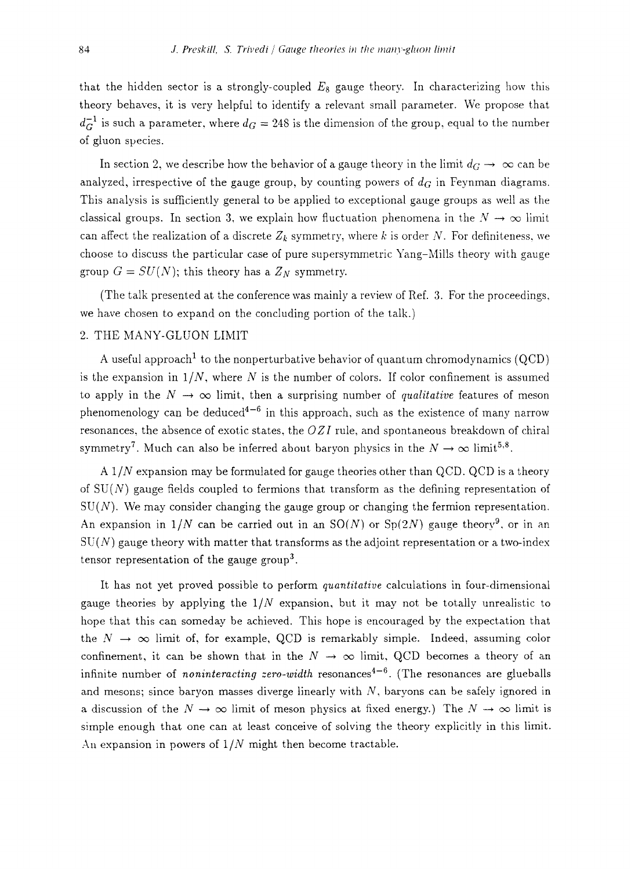that the hidden sector is a strongly-coupled  $E_8$  gauge theory. In characterizing how this theory behaves, it is very helpful to identify a relevant small parameter. We propose that  $d_G^{-1}$  is such a parameter, where  $d_G = 248$  is the dimension of the group, equal to the number of gluon species.

In section 2, we describe how the behavior of a gauge theory in the limit  $d_G \to \infty$  can be analyzed, irrespective of the gauge group, by counting powers of *da* in Feynman diagrams. This analysis is sufficiently general to be applied to exceptional gauge groups as well as the classical groups. In section 3, we explain how fluctuation phenomena in the  $N \to \infty$  limit can affect the realization of a discrete  $Z_k$  symmetry, where k is order N. For definiteness, we choose to discuss the particular case of pure supersymmetric Yang-Mills theory with gauge group  $G = SU(N)$ ; this theory has a  $Z_N$  symmetry.

(The talk presented at the conference was mainly a review of Ref. 3. For the proceedings, we have chosen to expand on the concluding portion of the talk.)

### 2. THE MANY-GLUON LIMIT

A useful approach<sup>1</sup> to the nonperturbative behavior of quantum chromodynamics (QCD) is the expansion in  $1/N$ , where N is the number of colors. If color confinement is assumed to apply in the  $N \to \infty$  limit, then a surprising number of *qualitative* features of meson phenomenology can be deduced<sup>4-6</sup> in this approach, such as the existence of many narrow resonances, the absence of exotic states, the *OZI* rule, and spontaneous breakdown of chiral symmetry<sup>7</sup>. Much can also be inferred about baryon physics in the  $N \to \infty$  limit<sup>5,8</sup>.

*A 1/N* expansion may be formulated for gauge theories other than QCD. QCD is a theory of  $SU(N)$  gauge fields coupled to fermions that transform as the defining representation of  $SU(N)$ . We may consider changing the gauge group or changing the fermion representation. An expansion in  $1/N$  can be carried out in an  $SO(N)$  or  $Sp(2N)$  gauge theory<sup>9</sup>, or in an  $SU(N)$  gauge theory with matter that transforms as the adjoint representation or a two-index tensor representation of the gauge group<sup>3</sup>.

It has not yet proved possible to perform *quantitative* calculations in four-dimensional gauge theories by applying the *1IN* expansion, but it may not be totally unrealistic to hope that this can someday be achieved. This hope is encouraged by the expectation that the  $N \to \infty$  limit of, for example, QCD is remarkably simple. Indeed, assuming color confinement, it can be shown that in the  $N \to \infty$  limit, QCD becomes a theory of an infinite number of *noninteracting zero-width* resonances<sup>4-6</sup>. (The resonances are glueballs and mesons; since baryon masses diverge linearly with  $N$ , baryons can be safely ignored in a discussion of the  $N \to \infty$  limit of meson physics at fixed energy.) The  $N \to \infty$  limit is simple enough that one can at least conceive of solving the theory explicitly in this limit. An expansion in powers of *1/N* might then become tractable.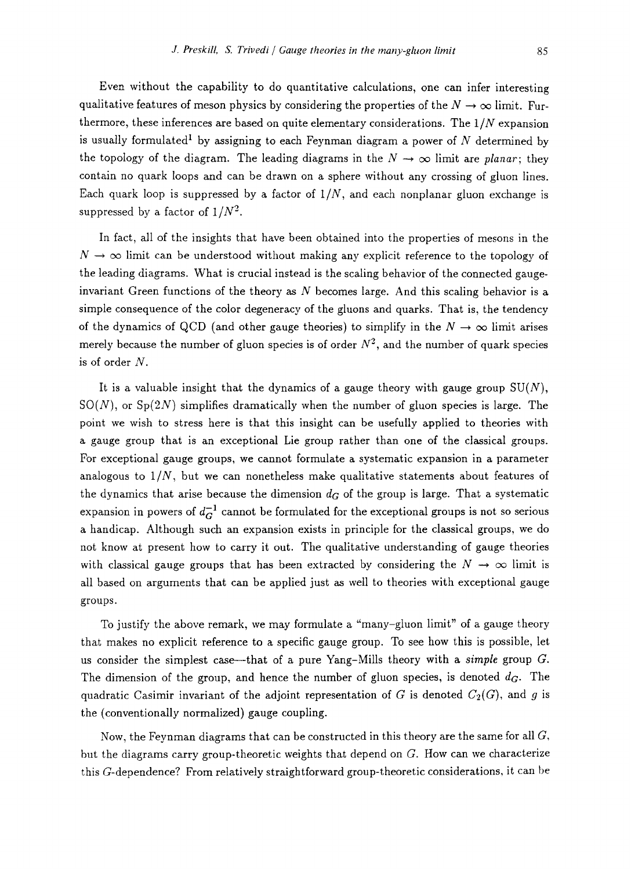Even without the capability to do quantitative calculations, one can infer interesting qualitative features of meson physics by considering the properties of the  $N \to \infty$  limit. Furthermore, these inferences are based on quite elementary considerations. The *1/N* expansion is usually formulated<sup>1</sup> by assigning to each Feynman diagram a power of  $N$  determined by the topology of the diagram. The leading diagrams in the  $N \rightarrow \infty$  limit are *planar*; they contain no quark loops and can be drawn on a sphere without any crossing of gluon lines. Each quark loop is suppressed by a factor of *1/N,* and each nonplanar gluon exchange is suppressed by a factor of  $1/N^2$ .

In fact, all of the insights that have been obtained into the properties of mesons in the  $N \to \infty$  limit can be understood without making any explicit reference to the topology of the leading diagrams. What is crucial instead is the scaling behavior of the connected gaugeinvariant Green functions of the theory as  $N$  becomes large. And this scaling behavior is a simple consequence of the color degeneracy of the gluons and quarks. That is, the tendency of the dynamics of QCD (and other gauge theories) to simplify in the  $N \to \infty$  limit arises merely because the number of gluon species is of order  $N^2$ , and the number of quark species is of order N.

It is a valuable insight that the dynamics of a gauge theory with gauge group  $SU(N)$ ,  $SO(N)$ , or  $Sp(2N)$  simplifies dramatically when the number of gluon species is large. The point we wish to stress here is that this insight can be usefully applied to theories with a gauge group that is an exceptional Lie group rather than one of the classical groups. For exceptional gauge groups, we cannot formulate a systematic expansion in a parameter analogous to  $1/N$ , but we can nonetheless make qualitative statements about features of the dynamics that arise because the dimension  $d_G$  of the group is large. That a systematic expansion in powers of  $d_G^{-1}$  cannot be formulated for the exceptional groups is not so serious a handicap. Although such an expansion exists in principle for the classical groups, we do not know at present how to carry it out. The qualitative understanding of gauge theories with classical gauge groups that has been extracted by considering the  $N \to \infty$  limit is all based on arguments that can be applied just as well to theories with exceptional gauge groups.

To justify the above remark, we may formulate a "many-gluon limit" of a gauge theory that makes no explicit reference to a specific gauge group. To see how this is possible, let us consider the simplest case—that of a pure Yang-Mills theory with a *simple* group G. The dimension of the group, and hence the number of gluon species, is denoted  $d_G$ . The quadratic Casimir invariant of the adjoint representation of G is denoted  $C_2(G)$ , and g is the (conventionally normalized) gauge coupling.

Now, the Feynman diagrams that can be constructed in this theory are the same for all  $G$ , but the diagrams carry group-theoretic weights that depend on G. How can we characterize this G-dependence? From relatively straightforward group-theoretic considerations, it can be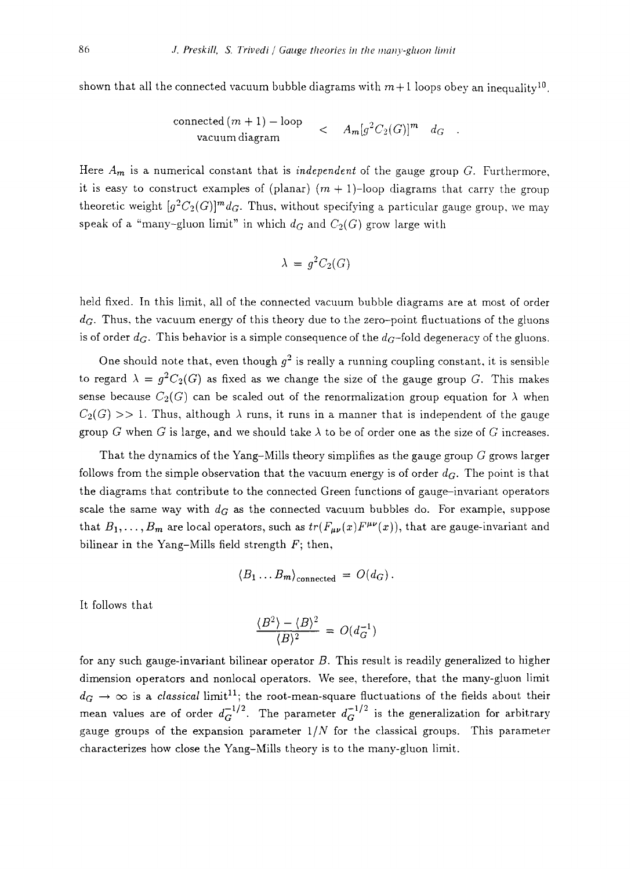shown that all the connected vacuum bubble diagrams with  $m+1$  loops obey an inequality<sup>10</sup>.

$$
\frac{\text{connected}(m+1) - \text{loop}}{\text{vacuum diagram}} < A_m[g^2C_2(G)]^m \ d_G
$$

Here *Am* is a numerical constant that is *independent* of the gauge group G. Furthermore, it is easy to construct examples of (planar)  $(m + 1)$ -loop diagrams that carry the group theoretic weight  $[g^2C_2(G)]^m d_G$ . Thus, without specifying a particular gauge group, we may speak of a "many-gluon limit" in which  $d_G$  and  $C_2(G)$  grow large with

$$
\lambda = g^2 C_2(G)
$$

held fixed. In this limit, all of the connected vacuum bubble diagrams are at most of order d<sub>G</sub>. Thus, the vacuum energy of this theory due to the zero-point fluctuations of the gluons is of order  $d_G$ . This behavior is a simple consequence of the  $d_G$ -fold degeneracy of the gluons.

One should note that, even though  $g^2$  is really a running coupling constant, it is sensible to regard  $\lambda = g^2C_2(G)$  as fixed as we change the size of the gauge group G. This makes sense because  $C_2(G)$  can be scaled out of the renormalization group equation for  $\lambda$  when  $C_2(G) >> 1$ . Thus, although  $\lambda$  runs, it runs in a manner that is independent of the gauge group G when G is large, and we should take  $\lambda$  to be of order one as the size of G increases.

That the dynamics of the Yang-Mills theory simplifies as the gauge group  $G$  grows larger follows from the simple observation that the vacuum energy is of order  $d_G$ . The point is that the diagrams that contribute to the connected Green functions of gauge-invariant operators scale the same way with  $d_G$  as the connected vacuum bubbles do. For example, suppose that  $B_1,\ldots, B_m$  are local operators, such as  $tr(F_{\mu\nu}(x)F^{\mu\nu}(x))$ , that are gauge-invariant and bilinear in the Yang-Mills field strength  $F$ ; then,

$$
\langle B_1 \dots B_m \rangle_{\text{connected}} = O(d_G).
$$

It follows that

$$
\frac{\langle B^2 \rangle - \langle B \rangle^2}{\langle B \rangle^2} = O(d_G^{-1})
$$

for any such gauge-invariant bilinear operator B. This result is readily generalized to higher dimension operators and nonlocal operators. We see, therefore, that the many-gluon limit  $d_G \rightarrow \infty$  is a *classical* limit<sup>11</sup>; the root-mean-square fluctuations of the fields about their mean values are of order  $d_G^{-1/2}$ . The parameter  $d_G^{-1/2}$  is the generalization for arbitrary gauge groups of the expansion parameter *1/N* for the classical groups. This parameter characterizes how close the Yang-Mills theory is to the many-gluon limit.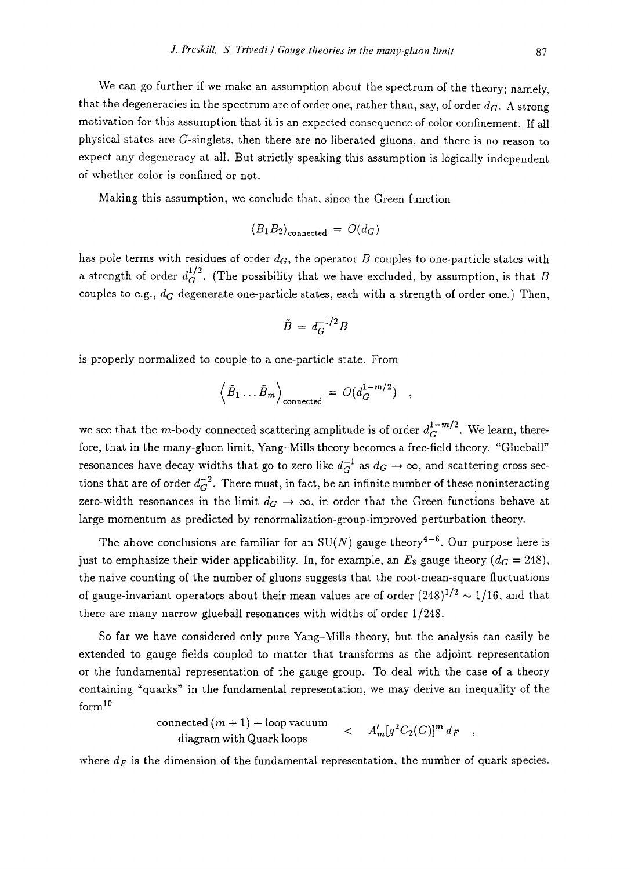We can go further if we make an assumption about the spectrum of the theory; namely, that the degeneracies in the spectrum are of order one, rather than, say, of order  $d_G$ . A strong motivation for this assumption that it is an expected consequence of color confinement. If all physical states are G-singlets, then there are no liberated gluons, and there is no reason to expect any degeneracy at all. But strictly speaking this assumption is logically independent of whether color is confined or not.

Making this assumption, we conclude that, since the Green function

$$
\langle B_1 B_2 \rangle_{\text{connected}} = O(d_G)
$$

has pole terms with residues of order  $d_G$ , the operator B couples to one-particle states with a strength of order  $d_G^{1/2}$ . (The possibility that we have excluded, by assumption, is that B couples to e.g.,  $d_G$  degenerate one-particle states, each with a strength of order one.) Then,

$$
\tilde{B} = d_G^{-1/2} B
$$

is properly normalized to couple to a one-particle state. From

$$
\left\langle \tilde{B}_1 \dots \tilde{B}_m \right\rangle_{\text{connected}} = O(d_G^{1-m/2}) \quad ,
$$

we see that the *m*-body connected scattering amplitude is of order  $d_C^{1-m/2}$ . We learn, therefore, that in the many-gluon limit, Yang-Mills theory becomes a free-field theory. "Glueball" resonances have decay widths that go to zero like  $d_G^{-1}$  as  $d_G \to \infty$ , and scattering cross sections that are of order  $d_G^{-2}$ . There must, in fact, be an infinite number of these noninteracting zero-width resonances in the limit  $d_G \rightarrow \infty$ , in order that the Green functions behave at large momentum as predicted by renormalization-group-improved perturbation theory.

The above conclusions are familiar for an  $SU(N)$  gauge theory<sup>4-6</sup>. Our purpose here is just to emphasize their wider applicability. In, for example, an  $E_8$  gauge theory  $(d_G = 248)$ , the naive counting of the number of gluons suggests that the root-mean-square fluctuations of gauge-invariant operators about their mean values are of order  $(248)^{1/2} \sim 1/16$ , and that there are many narrow glueball resonances with widths of order 1/248.

So far we have considered only pure Yang-Mills theory, but the analysis can easily be extended to gauge fields coupled to matter that transforms as the adjoint representation or the fundamental representation of the gauge group. To deal with the case of a theory containing "quarks" in the fundamental representation, we may derive an inequality of the form 10

connected 
$$
(m + 1)
$$
 – loop vacuum  
diagram with Quark loops  $\qquad \qquad < \qquad A'_m[g^2C_2(G)]^m d_F$ ,

where  $d_F$  is the dimension of the fundamental representation, the number of quark species.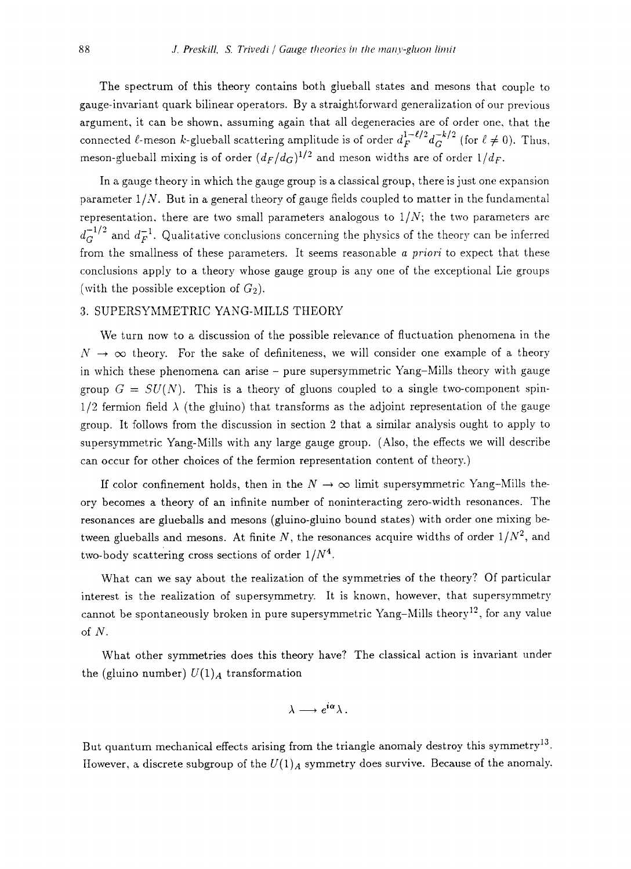The spectrum of this theory contains both glueball states and mesons that couple to gauge-invariant quark bilinear operators. By a straightforward generalization of our previous argument, it can be shown, assuming again that all degeneracies are of order one, that the connected  $\ell$ -meson k-glueball scattering amplitude is of order  $d_F^{1-\ell/2} d_G^{-k/2}$  (for  $\ell \neq 0$ ). Thus, meson-glueball mixing is of order  $(d_F/d_G)^{1/2}$  and meson widths are of order  $1/d_F$ .

In a gauge theory in which the gauge group is a classical group, there is just one expansion parameter *1/N.* But in a general theory of gauge fields coupled to matter in the fundamental representation, there are two small parameters analogous to  $1/N$ ; the two parameters are  $d_G^{-1/2}$  and  $d_F^{-1}$ . Qualitative conclusions concerning the physics of the theory can be inferred from the smallness of these parameters. It seems reasonable *a priori* to expect that these conclusions apply to a theory whose gauge group is any one of the exceptional Lie groups (with the possible exception of  $G_2$ ).

## 3. SUPERSYMMETRIC YANG-MILLS THEORY

We turn now to a discussion of the possible relevance of fluctuation phenomena in the  $N \rightarrow \infty$  theory. For the sake of definiteness, we will consider one example of a theory in which these phenomena can arise - pure supersymmetric Yang-Mills theory with gauge group  $G = SU(N)$ . This is a theory of gluons coupled to a single two-component spin- $1/2$  fermion field  $\lambda$  (the gluino) that transforms as the adjoint representation of the gauge group. It follows from the discussion in section 2 that a similar analysis ought to apply to supersymmetric Yang-Mills with any large gauge group. (Also, the effects we will describe can occur for other choices of the fermion representation content of theory.)

If color confinement holds, then in the  $N \to \infty$  limit supersymmetric Yang-Mills theory becomes a theory of an infinite number of noninteracting zero-width resonances. The resonances are glueballs and mesons (gluino-gluino bound states) with order one mixing between glueballs and mesons. At finite  $N$ , the resonances acquire widths of order  $1/N^2$ , and two-body scattering cross sections of order  $1/N^4$ .

What can we say about the realization of the symmetries of the theory? Of particular interest is the realization of supersymmetry. It is known, however, that supersymmetry cannot be spontaneously broken in pure supersymmetric Yang-Mills theory<sup>12</sup>, for any value of N.

What other symmetries does this theory have? The classical action is invariant under the (gluino number)  $U(1)<sub>A</sub>$  transformation

$$
\lambda \longrightarrow e^{i\alpha} \lambda .
$$

But quantum mechanical effects arising from the triangle anomaly destroy this symmetry<sup>13</sup>. However, a discrete subgroup of the  $U(1)_A$  symmetry does survive. Because of the anomaly,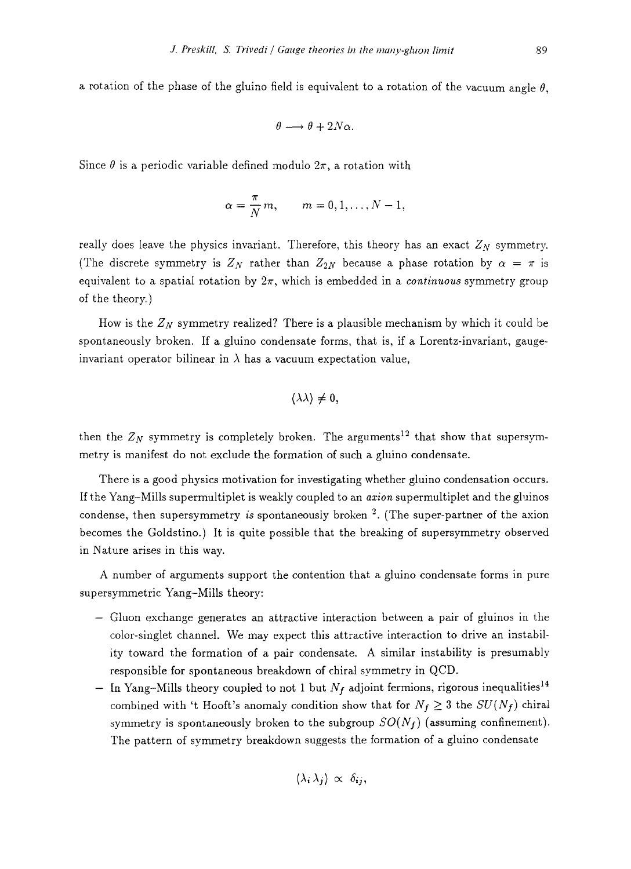a rotation of the phase of the gluino field is equivalent to a rotation of the vacuum angle  $\theta$ .

$$
\theta \longrightarrow \theta + 2N\alpha.
$$

Since  $\theta$  is a periodic variable defined modulo  $2\pi$ , a rotation with

$$
\alpha = \frac{\pi}{N} m, \qquad m = 0, 1, \ldots, N-1,
$$

really does leave the physics invariant. Therefore, this theory has an exact  $Z_N$  symmetry. (The discrete symmetry is  $Z_N$  rather than  $Z_{2N}$  because a phase rotation by  $\alpha = \pi$  is equivalent to a spatial rotation by  $2\pi$ , which is embedded in a *continuous* symmetry group of the theory.)

How is the  $Z_N$  symmetry realized? There is a plausible mechanism by which it could be spontaneously broken. If a gluino condensate forms, that is, if a Lorentz-invariant, gaugeinvariant operator bilinear in  $\lambda$  has a vacuum expectation value,

$$
\langle\lambda\lambda\rangle\neq 0,
$$

then the  $Z_N$  symmetry is completely broken. The arguments<sup>12</sup> that show that supersymmerry is manifest do not exclude the formation of such a gluino condensate.

There is a good physics motivation for investigating whether gluino condensation occurs. If the Yang-Mills supermultiplet is weakly coupled to an *azion* supermultiplet and the gluinos condense, then supersymmetry *is* spontaneously broken 2. (The super-partner of the axion becomes the Goldstino.) It is quite possible that the breaking of supersymmetry observed in Nature arises in this way.

A number of arguments support the contention that a gluino condensate forms in pure supersymmetric Yang-Mills theory:

- Gluon exchange generates an attractive interaction between a pair of gluinos in the color-singlet channel. We may expect this attractive interaction to drive an instability toward the formation of a pair condensate. A similar instability is presumably responsible for spontaneous breakdown of chiral symmetry in QCD.
- In Yang-Mills theory coupled to not 1 but *Nf* adjoint fermions, rigorous inequalities 14 combined with 't Hooft's anomaly condition show that for  $N_f \geq 3$  the  $SU(N_f)$  chiral symmetry is spontaneously broken to the subgroup  $SO(N_f)$  (assuming confinement). The pattern of symmetry breakdown suggests the formation of a gluino condensate

$$
\langle \lambda_i \lambda_j \rangle \propto \delta_{ij},
$$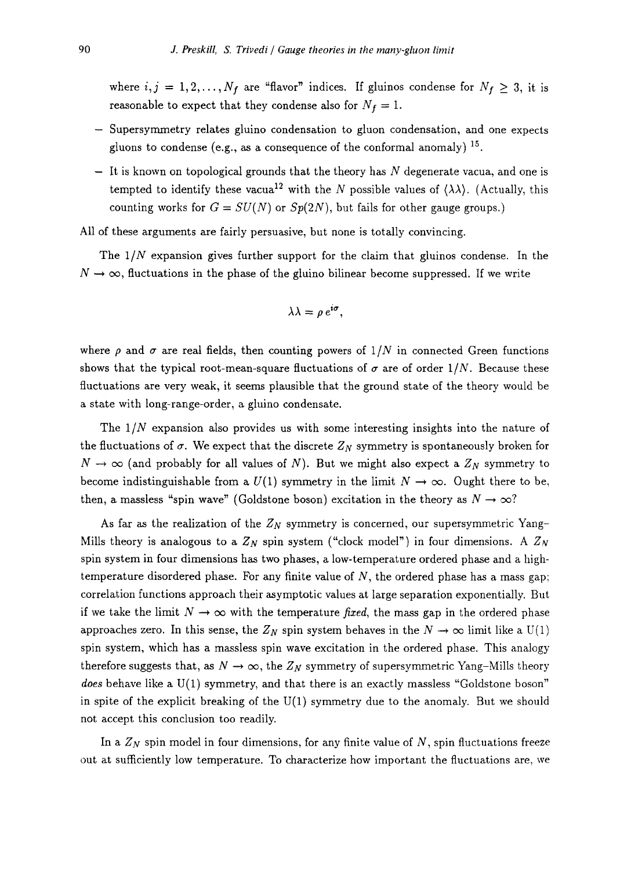where  $i, j = 1, 2, ..., N_f$  are "flavor" indices. If gluinos condense for  $N_f \geq 3$ , it is reasonable to expect that they condense also for  $N_f = 1$ .

- Supersymmetry relates gluino condensation to gluon condensation, and one expects gluons to condense (e.g., as a consequence of the conformal anomaly)  $^{15}$ .
- $-$  It is known on topological grounds that the theory has N degenerate vacua, and one is tempted to identify these vacua<sup>12</sup> with the N possible values of  $(\lambda \lambda)$ . (Actually, this counting works for  $G = SU(N)$  or  $Sp(2N)$ , but fails for other gauge groups.)

All of these arguments are fairly persuasive, but none is totally convincing.

The *1IN* expansion gives further support for the claim that gluinos condense. In the  $N \to \infty$ , fluctuations in the phase of the gluino bilinear become suppressed. If we write

$$
\lambda \lambda = \rho e^{i\sigma},
$$

where  $\rho$  and  $\sigma$  are real fields, then counting powers of  $1/N$  in connected Green functions shows that the typical root-mean-square fluctuations of  $\sigma$  are of order 1/N. Because these fluctuations are very weak, it seems plausible that the ground state of the theory would be a state with long-range-order, a gluino condensate.

The *1IN* expansion also provides us with some interesting insights into the nature of the fluctuations of  $\sigma$ . We expect that the discrete  $Z_N$  symmetry is spontaneously broken for  $N \to \infty$  (and probably for all values of N). But we might also expect a  $Z_N$  symmetry to become indistinguishable from a  $U(1)$  symmetry in the limit  $N \to \infty$ . Ought there to be, then, a massless "spin wave" (Goldstone boson) excitation in the theory as  $N \rightarrow \infty$ ?

As far as the realization of the  $Z_N$  symmetry is concerned, our supersymmetric Yang-Mills theory is analogous to a  $Z_N$  spin system ("clock model") in four dimensions. A  $Z_N$ spin system in four dimensions has two phases, a low-temperature ordered phase and a hightemperature disordered phase. For any finite value of  $N$ , the ordered phase has a mass gap; correlation functions approach their asymptotic values at large separation exponentially. But if we take the limit  $N \to \infty$  with the temperature *fixed*, the mass gap in the ordered phase approaches zero. In this sense, the  $Z_N$  spin system behaves in the  $N \to \infty$  limit like a U(1) spin system, which has a massless spin wave excitation in the ordered phase. This analogy therefore suggests that, as  $N \to \infty$ , the  $Z_N$  symmetry of supersymmetric Yang-Mills theory *does* behave like a U(1) symmetry, and that there is an exactly massless "Goldstone boson" in spite of the explicit breaking of the U(1) symmetry due to the anomaly. But we should not accept this conclusion too readily.

In a  $Z_N$  spin model in four dimensions, for any finite value of  $N$ , spin fluctuations freeze out at sufficiently low temperature. To characterize how important the fluctuations are, we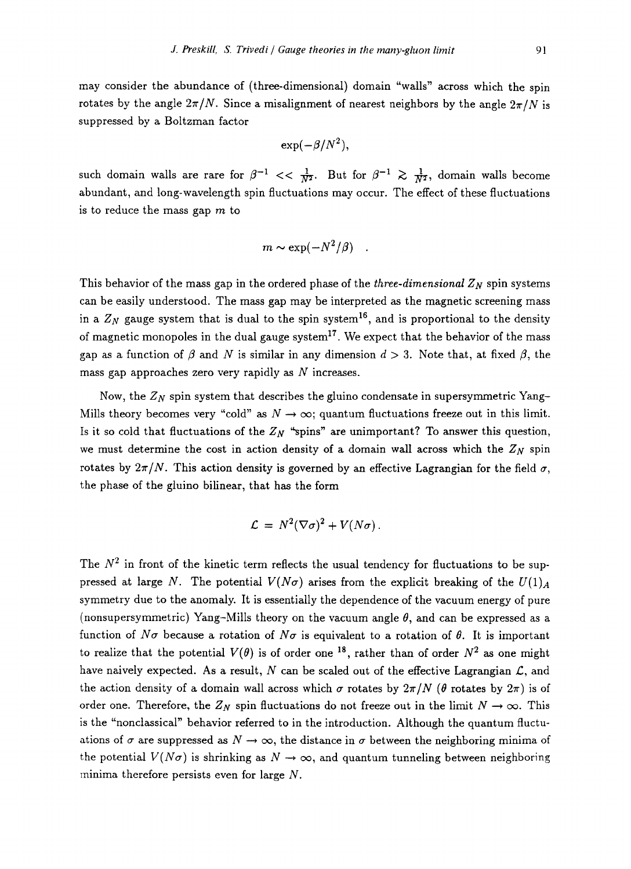may consider the abundance of (three-dimensional) domain "walls" across which the spin rotates by the angle  $2\pi/N$ . Since a misalignment of nearest neighbors by the angle  $2\pi/N$  is suppressed by a Boltzman factor

$$
\exp(-\beta/N^2)
$$
,

such domain walls are rare for  $\beta^{-1} << \frac{1}{N^2}$ . But for  $\beta^{-1} \ge \frac{1}{N^2}$ , domain walls become abundant, and long-wavelength spin fluctuations may occur. The effect of these fluctuations is to reduce the mass gap  $m$  to

$$
m \sim \exp(-N^2/\beta)
$$

This behavior of the mass gap in the ordered phase of the *three-dimensional*  $Z_N$  spin systems can be easily understood. The mass gap may be interpreted as the magnetic screening mass in a  $Z_N$  gauge system that is dual to the spin system<sup>16</sup>, and is proportional to the density of magnetic monopoles in the dual gauge system<sup>17</sup>. We expect that the behavior of the mass gap as a function of  $\beta$  and N is similar in any dimension  $d > 3$ . Note that, at fixed  $\beta$ , the mass gap approaches zero very rapidly as  $N$  increases.

Now, the  $Z_N$  spin system that describes the gluino condensate in supersymmetric Yang-Mills theory becomes very "cold" as  $N \to \infty$ ; quantum fluctuations freeze out in this limit. Is it so cold that fluctuations of the  $Z_N$  "spins" are unimportant? To answer this question, we must determine the cost in action density of a domain wall across which the  $Z_N$  spin rotates by  $2\pi/N$ . This action density is governed by an effective Lagrangian for the field  $\sigma$ , the phase of the gluino bilinear, that has the form

$$
\mathcal{L} = N^2 (\nabla \sigma)^2 + V(N \sigma).
$$

The  $N^2$  in front of the kinetic term reflects the usual tendency for fluctuations to be suppressed at large N. The potential  $V(N\sigma)$  arises from the explicit breaking of the  $U(1)<sub>A</sub>$ symmetry due to the anomaly. It is essentially the dependence of the vacuum energy of pure (nonsupersymmetric) Yang-Mills theory on the vacuum angle  $\theta$ , and can be expressed as a function of  $N\sigma$  because a rotation of  $N\sigma$  is equivalent to a rotation of  $\theta$ . It is important to realize that the potential  $V(\theta)$  is of order one <sup>18</sup>, rather than of order  $N^2$  as one might have naively expected. As a result, N can be scaled out of the effective Lagrangian  $\mathcal{L}$ , and the action density of a domain wall across which  $\sigma$  rotates by  $2\pi/N$  ( $\theta$  rotates by  $2\pi$ ) is of order one. Therefore, the  $Z_N$  spin fluctuations do not freeze out in the limit  $N \to \infty$ . This is the "nonclassical" behavior referred to in the introduction. Although the quantum fluctuations of  $\sigma$  are suppressed as  $N \to \infty$ , the distance in  $\sigma$  between the neighboring minima of the potential  $V(N\sigma)$  is shrinking as  $N \to \infty$ , and quantum tunneling between neighboring minima therefore persists even for large N.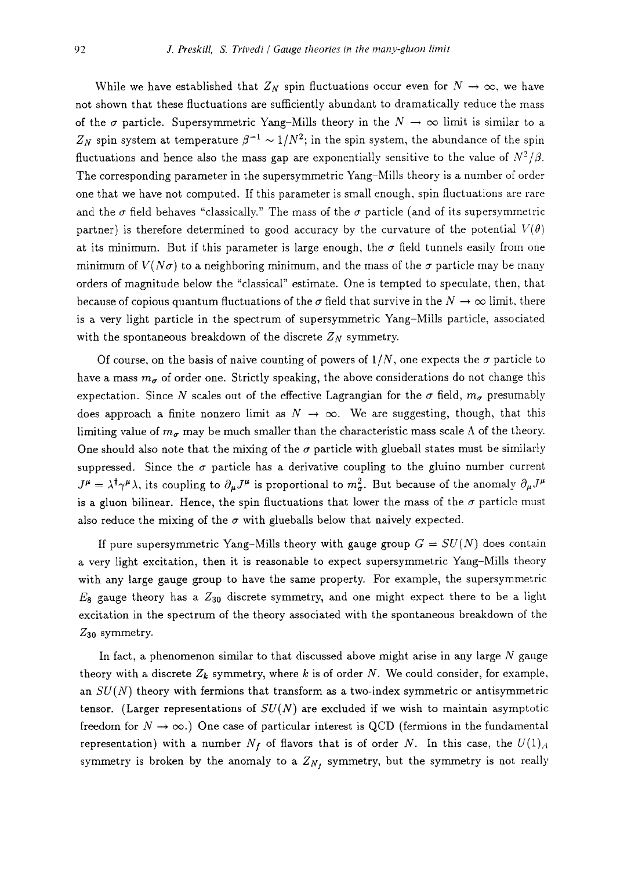While we have established that  $Z_N$  spin fluctuations occur even for  $N \to \infty$ , we have not shown that these fluctuations are sufficiently abundant to dramatically reduce the mass of the  $\sigma$  particle. Supersymmetric Yang-Mills theory in the  $N \to \infty$  limit is similar to a  $Z_N$  spin system at temperature  $\beta^{-1} \sim 1/N^2$ ; in the spin system, the abundance of the spin fluctuations and hence also the mass gap are exponentially sensitive to the value of  $N^2/\beta$ . The corresponding parameter in the supersymmetric Yang-Mills theory is a number of order one that we have not computed. If this parameter is small enough, spin fluctuations are rare and the  $\sigma$  field behaves "classically." The mass of the  $\sigma$  particle (and of its supersymmetric partner) is therefore determined to good accuracy by the curvature of the potential  $V(\theta)$ at its minimum. But if this parameter is large enough, the  $\sigma$  field tunnels easily from one minimum of  $V(N\sigma)$  to a neighboring minimum, and the mass of the  $\sigma$  particle may be many orders of magnitude below the "classical" estimate. One is tempted to speculate, then, that because of copious quantum fluctuations of the  $\sigma$  field that survive in the  $N \to \infty$  limit, there is a very light particle in the spectrum of supersymmetric Yang-Mills particle, associated with the spontaneous breakdown of the discrete  $Z_N$  symmetry.

Of course, on the basis of naive counting of powers of  $1/N$ , one expects the  $\sigma$  particle to have a mass  $m_{\sigma}$  of order one. Strictly speaking, the above considerations do not change this expectation. Since N scales out of the effective Lagrangian for the  $\sigma$  field,  $m_{\sigma}$  presumably does approach a finite nonzero limit as  $N \to \infty$ . We are suggesting, though, that this limiting value of  $m_{\sigma}$  may be much smaller than the characteristic mass scale  $\Lambda$  of the theory. One should also note that the mixing of the  $\sigma$  particle with glueball states must be similarly suppressed. Since the  $\sigma$  particle has a derivative coupling to the gluino number current  $J^{\mu} = \lambda^{\dagger} \gamma^{\mu} \lambda$ , its coupling to  $\partial_{\mu} J^{\mu}$  is proportional to  $m_{\sigma}^{2}$ . But because of the anomaly  $\partial_{\mu} J^{\mu}$ is a gluon bilinear. Hence, the spin fluctuations that lower the mass of the  $\sigma$  particle must also reduce the mixing of the  $\sigma$  with glueballs below that naively expected.

If pure supersymmetric Yang-Mills theory with gauge group  $G = SU(N)$  does contain a very light excitation, then it is reasonable to expect supersymmetric Yang-Mills theory with any large gauge group to have the same property. For example, the supersymmetric  $E_8$  gauge theory has a  $Z_{30}$  discrete symmetry, and one might expect there to be a light excitation in the spectrum of the theory associated with the spontaneous breakdown of the  $Z_{30}$  symmetry.

In fact, a phenomenon similar to that discussed above might arise in any large  $N$  gauge theory with a discrete  $Z_k$  symmetry, where k is of order N. We could consider, for example, an *SU(N)* theory with fermions that transform as a two-index symmetric or antisymmetric tensor. (Larger representations of *SU(N)* are excluded if we wish to maintain asymptotic freedom for  $N \to \infty$ .) One case of particular interest is QCD (fermions in the fundamental representation) with a number  $N_f$  of flavors that is of order N. In this case, the  $U(1)_A$ symmetry is broken by the anomaly to a  $Z_{N_f}$  symmetry, but the symmetry is not really